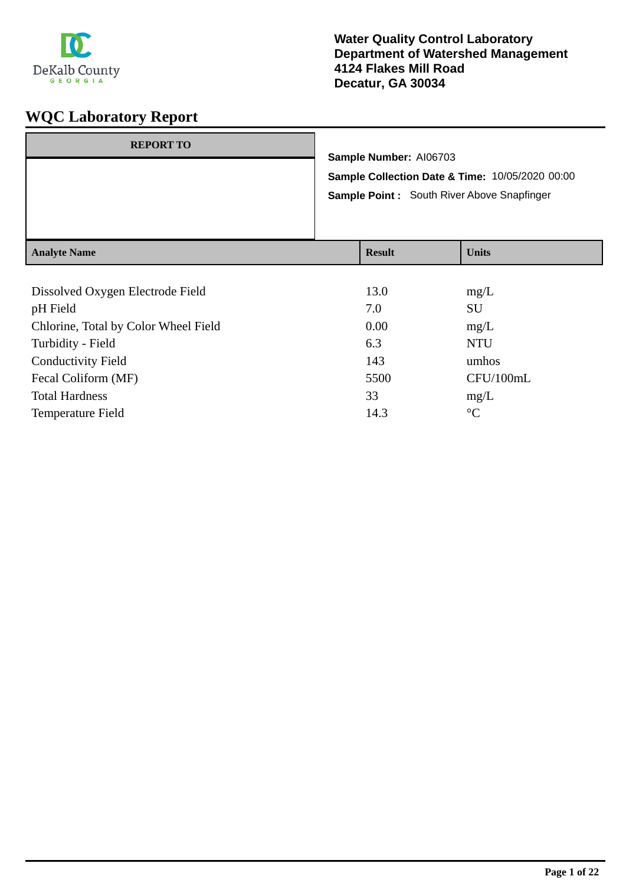

| <b>REPORT TO</b>    | Sample Number: AI06703<br>Sample Collection Date & Time: 10/05/2020 00:00<br>Sample Point: South River Above Snapfinger |               |              |
|---------------------|-------------------------------------------------------------------------------------------------------------------------|---------------|--------------|
| <b>Analyte Name</b> |                                                                                                                         | <b>Result</b> | <b>Units</b> |

| Dissolved Oxygen Electrode Field     | 13.0 | mg/L            |
|--------------------------------------|------|-----------------|
| pH Field                             | 7.0  | SU              |
| Chlorine, Total by Color Wheel Field | 0.00 | mg/L            |
| Turbidity - Field                    | 6.3  | <b>NTU</b>      |
| <b>Conductivity Field</b>            | 143  | umhos           |
| Fecal Coliform (MF)                  | 5500 | CFU/100mL       |
| <b>Total Hardness</b>                | 33   | mg/L            |
| <b>Temperature Field</b>             | 14.3 | $\rm ^{\circ}C$ |
|                                      |      |                 |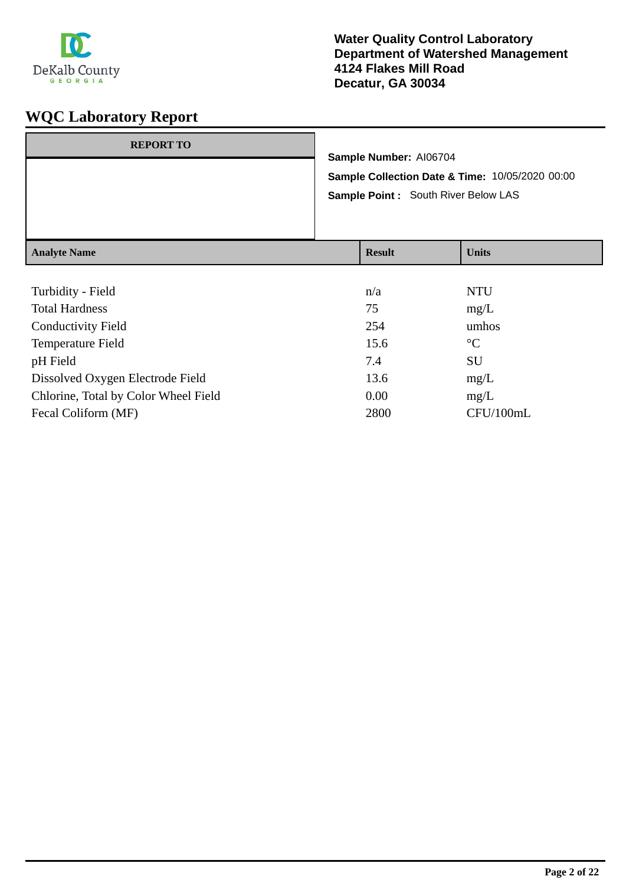

| <b>REPORT TO</b>    | Sample Number: AI06704<br>Sample Collection Date & Time: 10/05/2020 00:00<br>Sample Point : South River Below LAS |               |  |              |
|---------------------|-------------------------------------------------------------------------------------------------------------------|---------------|--|--------------|
|                     |                                                                                                                   |               |  |              |
|                     |                                                                                                                   |               |  |              |
|                     |                                                                                                                   |               |  |              |
| <b>Analyte Name</b> |                                                                                                                   | <b>Result</b> |  | <b>Units</b> |

| Turbidity - Field                    | n/a  | <b>NTU</b>      |
|--------------------------------------|------|-----------------|
| <b>Total Hardness</b>                | 75   | mg/L            |
| <b>Conductivity Field</b>            | 254  | umhos           |
| <b>Temperature Field</b>             | 15.6 | $\rm ^{\circ}C$ |
| pH Field                             | 7.4  | <b>SU</b>       |
| Dissolved Oxygen Electrode Field     | 13.6 | mg/L            |
| Chlorine, Total by Color Wheel Field | 0.00 | mg/L            |
| Fecal Coliform (MF)                  | 2800 | CFU/100mL       |
|                                      |      |                 |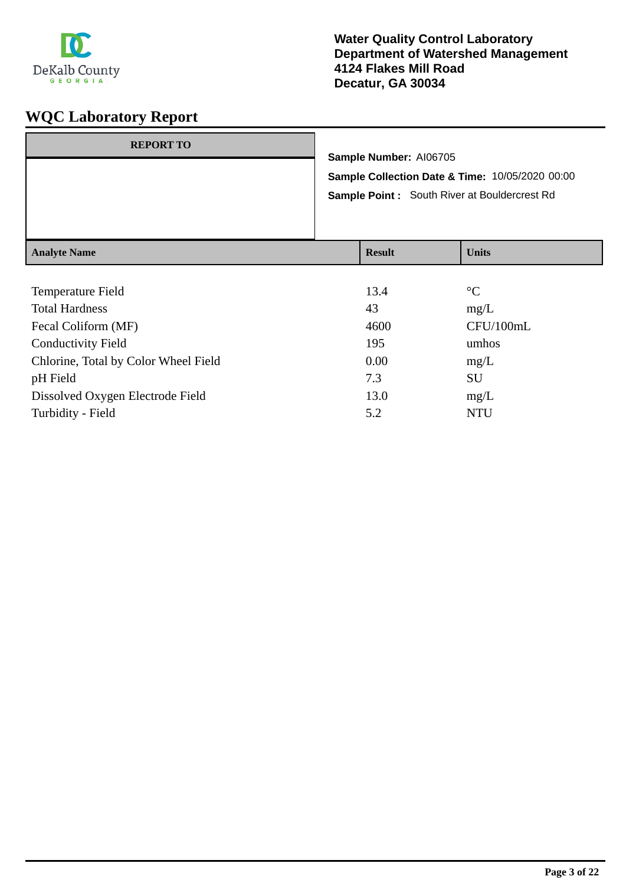

| <b>REPORT TO</b>    | Sample Number: AI06705<br>Sample Collection Date & Time: 10/05/2020 00:00<br><b>Sample Point:</b> South River at Bouldercrest Rd<br><b>Units</b><br><b>Result</b> |  |  |
|---------------------|-------------------------------------------------------------------------------------------------------------------------------------------------------------------|--|--|
| <b>Analyte Name</b> |                                                                                                                                                                   |  |  |

| Temperature Field                    | 13.4 | $\rm ^{\circ}C$ |
|--------------------------------------|------|-----------------|
| <b>Total Hardness</b>                | 43   | mg/L            |
| Fecal Coliform (MF)                  | 4600 | CFU/100mL       |
| <b>Conductivity Field</b>            | 195  | umhos           |
| Chlorine, Total by Color Wheel Field | 0.00 | mg/L            |
| pH Field                             | 7.3  | <b>SU</b>       |
| Dissolved Oxygen Electrode Field     | 13.0 | mg/L            |
| Turbidity - Field                    | 5.2  | <b>NTU</b>      |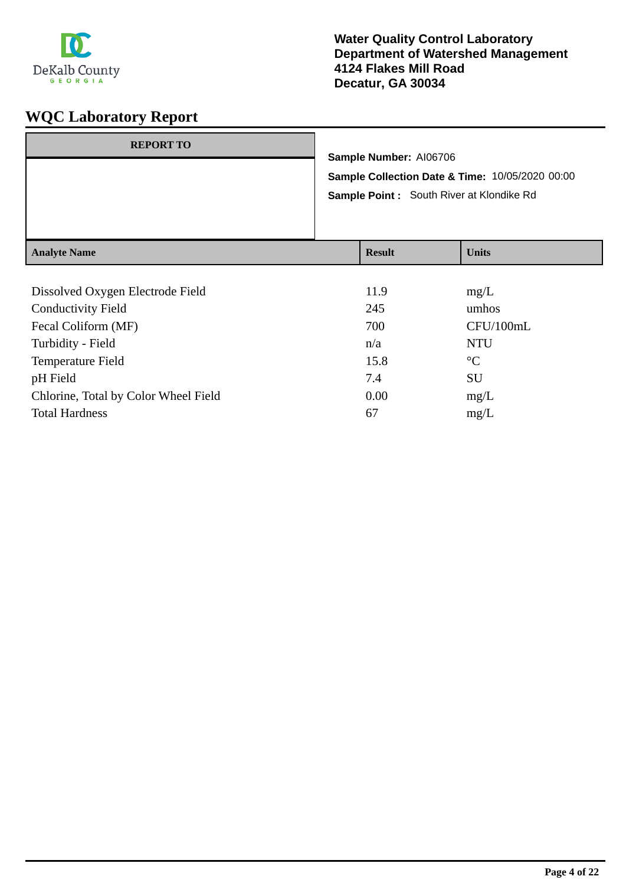

| <b>REPORT TO</b>    | Sample Number: AI06706<br>Sample Point : South River at Klondike Rd | Sample Collection Date & Time: 10/05/2020 00:00 |
|---------------------|---------------------------------------------------------------------|-------------------------------------------------|
| <b>Analyte Name</b> | <b>Result</b>                                                       | <b>Units</b>                                    |

| Dissolved Oxygen Electrode Field     | 11.9 | mg/L            |
|--------------------------------------|------|-----------------|
| <b>Conductivity Field</b>            | 245  | umhos           |
| Fecal Coliform (MF)                  | 700  | CFU/100mL       |
| Turbidity - Field                    | n/a  | <b>NTU</b>      |
| <b>Temperature Field</b>             | 15.8 | $\rm ^{\circ}C$ |
| pH Field                             | 7.4  | SU              |
| Chlorine, Total by Color Wheel Field | 0.00 | mg/L            |
| <b>Total Hardness</b>                | 67   | mg/L            |
|                                      |      |                 |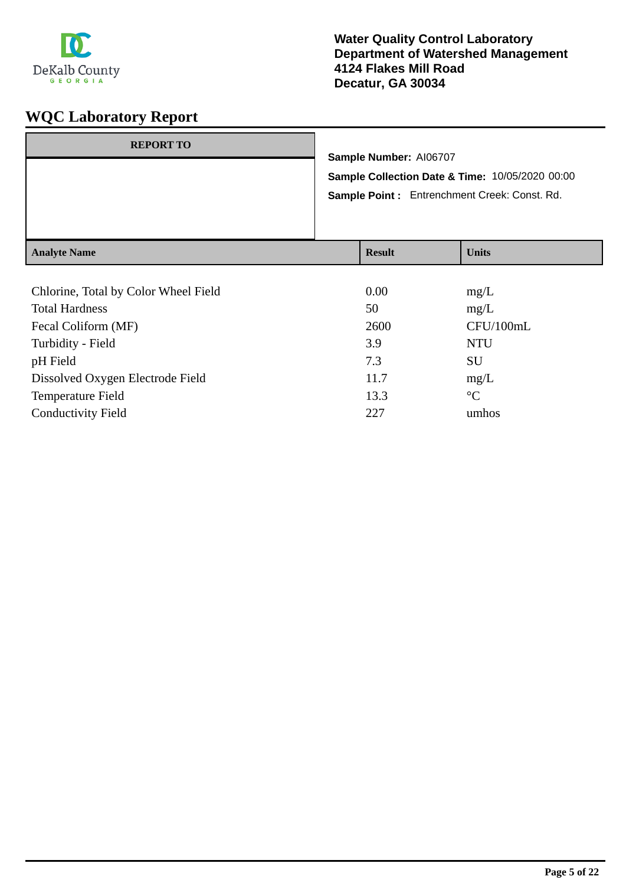

| <b>REPORT TO</b>    | Sample Number: AI06707                                                                          |               |  |              |
|---------------------|-------------------------------------------------------------------------------------------------|---------------|--|--------------|
|                     | Sample Collection Date & Time: 10/05/2020 00:00<br>Sample Point: Entrenchment Creek: Const. Rd. |               |  |              |
|                     |                                                                                                 |               |  |              |
|                     |                                                                                                 |               |  |              |
| <b>Analyte Name</b> |                                                                                                 | <b>Result</b> |  | <b>Units</b> |

| Chlorine, Total by Color Wheel Field | 0.00 | mg/L            |
|--------------------------------------|------|-----------------|
| <b>Total Hardness</b>                | 50   | mg/L            |
| Fecal Coliform (MF)                  | 2600 | CFU/100mL       |
| Turbidity - Field                    | 3.9  | <b>NTU</b>      |
| pH Field                             | 7.3  | <b>SU</b>       |
| Dissolved Oxygen Electrode Field     | 11.7 | mg/L            |
| Temperature Field                    | 13.3 | $\rm ^{\circ}C$ |
| <b>Conductivity Field</b>            | 227  | umhos           |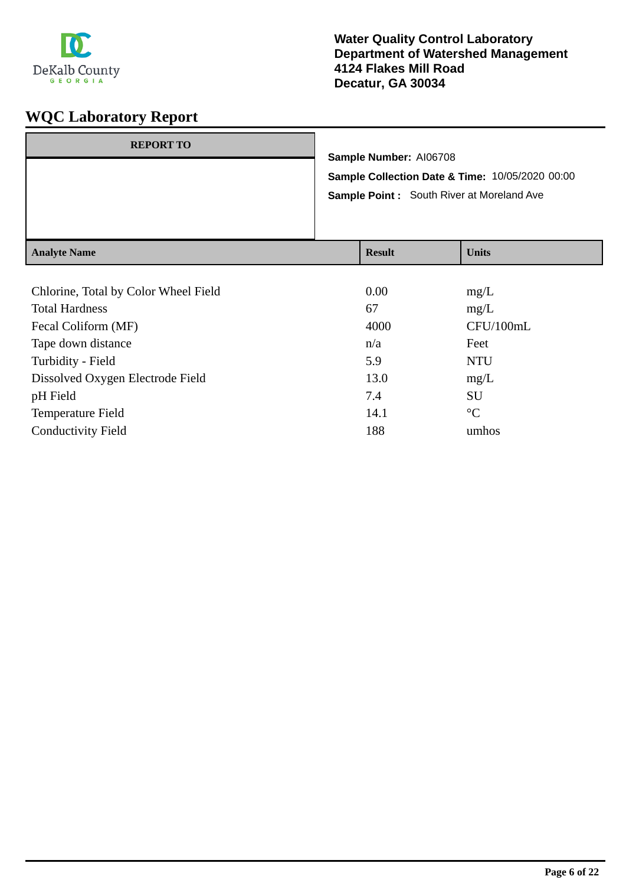

| <b>REPORT TO</b>    | Sample Number: AI06708<br>Sample Collection Date & Time: 10/05/2020 00:00<br><b>Sample Point:</b> South River at Moreland Ave |               |  |              |
|---------------------|-------------------------------------------------------------------------------------------------------------------------------|---------------|--|--------------|
|                     |                                                                                                                               |               |  |              |
|                     |                                                                                                                               |               |  |              |
| <b>Analyte Name</b> |                                                                                                                               | <b>Result</b> |  | <b>Units</b> |

| Chlorine, Total by Color Wheel Field | 0.00 | mg/L            |
|--------------------------------------|------|-----------------|
| <b>Total Hardness</b>                | 67   | mg/L            |
| Fecal Coliform (MF)                  | 4000 | CFU/100mL       |
| Tape down distance                   | n/a  | Feet            |
| Turbidity - Field                    | 5.9  | <b>NTU</b>      |
| Dissolved Oxygen Electrode Field     | 13.0 | mg/L            |
| pH Field                             | 7.4  | SU              |
| <b>Temperature Field</b>             | 14.1 | $\rm ^{\circ}C$ |
| <b>Conductivity Field</b>            | 188  | umhos           |
|                                      |      |                 |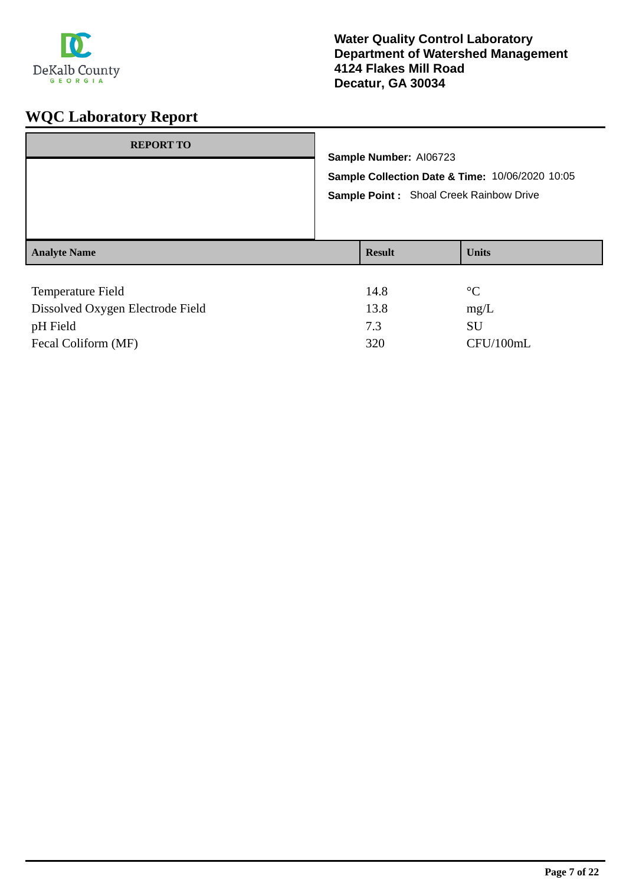

| <b>REPORT TO</b>    | Sample Number: AI06723<br>Sample Collection Date & Time: 10/06/2020 10:05<br>Sample Point: Shoal Creek Rainbow Drive |               |                 |
|---------------------|----------------------------------------------------------------------------------------------------------------------|---------------|-----------------|
| <b>Analyte Name</b> |                                                                                                                      | <b>Result</b> | <b>Units</b>    |
| Temperature Field   |                                                                                                                      | 14.8          | $\rm ^{\circ}C$ |

| Dissolved Oxygen Electrode Field | 13.8 | mg/L      |
|----------------------------------|------|-----------|
| pH Field                         |      | SU        |
| Fecal Coliform (MF)              | 320  | CFU/100mL |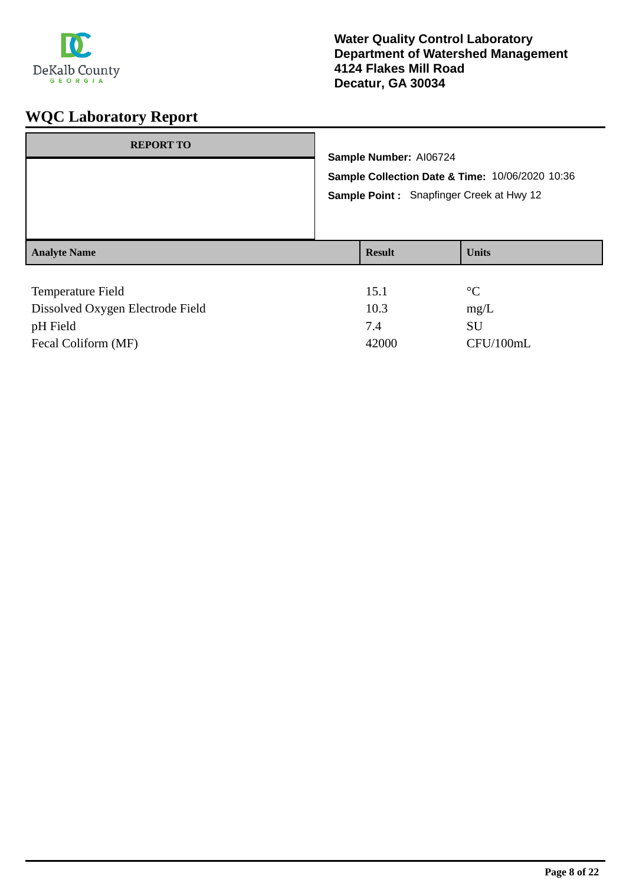

| <b>REPORT TO</b>    |  | Sample Number: Al06724                          |                 |  |  |
|---------------------|--|-------------------------------------------------|-----------------|--|--|
|                     |  |                                                 |                 |  |  |
|                     |  | Sample Collection Date & Time: 10/06/2020 10:36 |                 |  |  |
|                     |  | Sample Point: Snapfinger Creek at Hwy 12        |                 |  |  |
| <b>Analyte Name</b> |  | <b>Result</b>                                   | <b>Units</b>    |  |  |
|                     |  |                                                 |                 |  |  |
| Temperature Field   |  | 15.1                                            | $\rm ^{\circ}C$ |  |  |
| .                   |  | $\sim$ $\sim$                                   | $\sim$          |  |  |

| Dissolved Oxygen Electrode Field | 10.3  | mg/L      |
|----------------------------------|-------|-----------|
| pH Field                         |       | SU        |
| Fecal Coliform (MF)              | 42000 | CFU/100mL |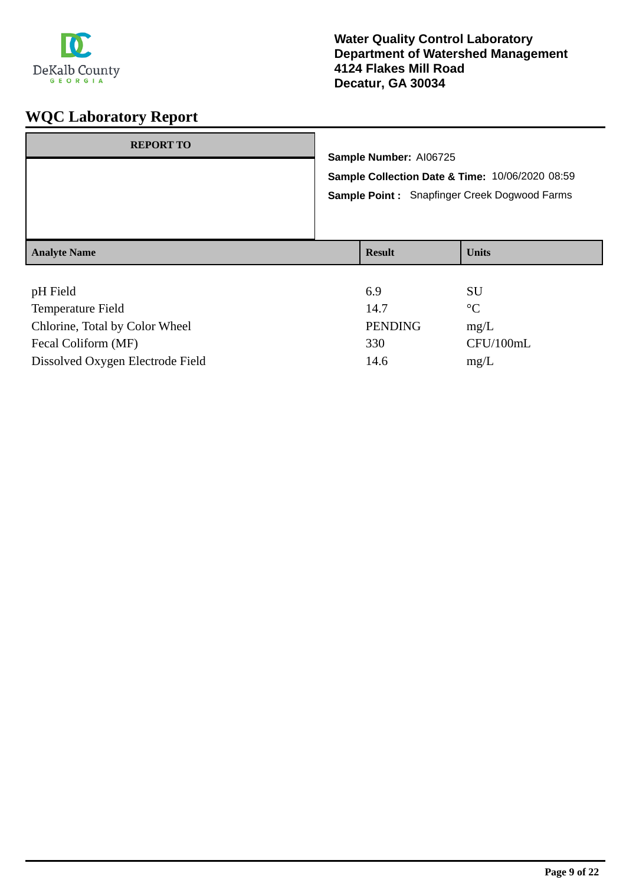

| <b>REPORT TO</b>    | Sample Number: AI06725 | Sample Collection Date & Time: 10/06/2020 08:59<br><b>Sample Point: Snapfinger Creek Dogwood Farms</b> |
|---------------------|------------------------|--------------------------------------------------------------------------------------------------------|
| <b>Analyte Name</b> | <b>Result</b>          | <b>Units</b>                                                                                           |
| pH Field            | 6.9                    | SU                                                                                                     |

| $\mathbf{u}$ |             |
|--------------|-------------|
| 14.7         | $^{\circ}C$ |
| PENDING      | mg/L        |
| 330          | CFU/100mL   |
| 14.6         | mg/L        |
|              |             |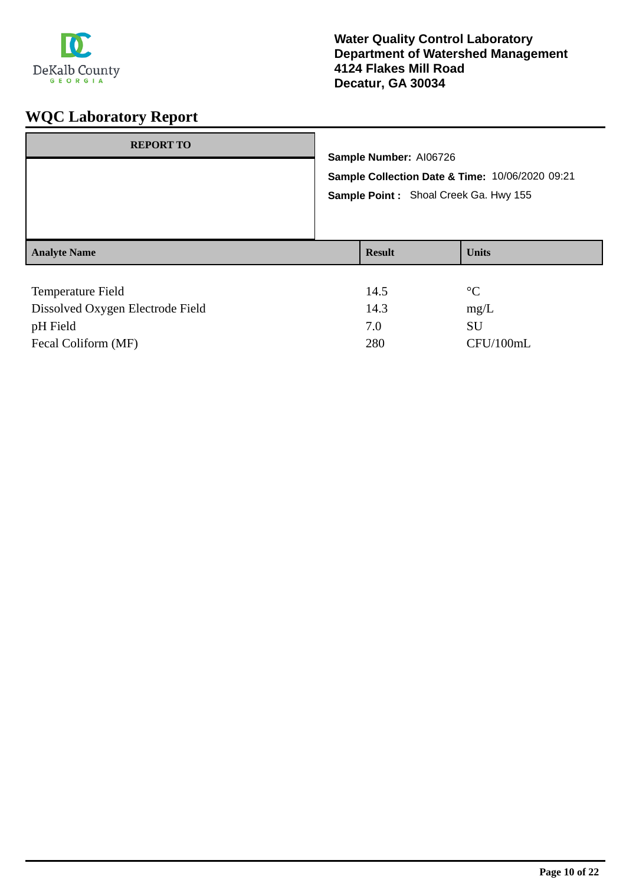

| <b>REPORT TO</b>    | Sample Number: AI06726<br>Sample Point: Shoal Creek Ga. Hwy 155 | Sample Collection Date & Time: 10/06/2020 09:21 |
|---------------------|-----------------------------------------------------------------|-------------------------------------------------|
| <b>Analyte Name</b> | <b>Result</b>                                                   | <b>Units</b>                                    |
| Temperature Field   | 14.5                                                            | $\rm ^{\circ}C$                                 |

| Dissolved Oxygen Electrode Field | 14.3 | mg/L      |
|----------------------------------|------|-----------|
| pH Field                         | 7.0  | SU        |
| Fecal Coliform (MF)              | 280  | CFU/100mL |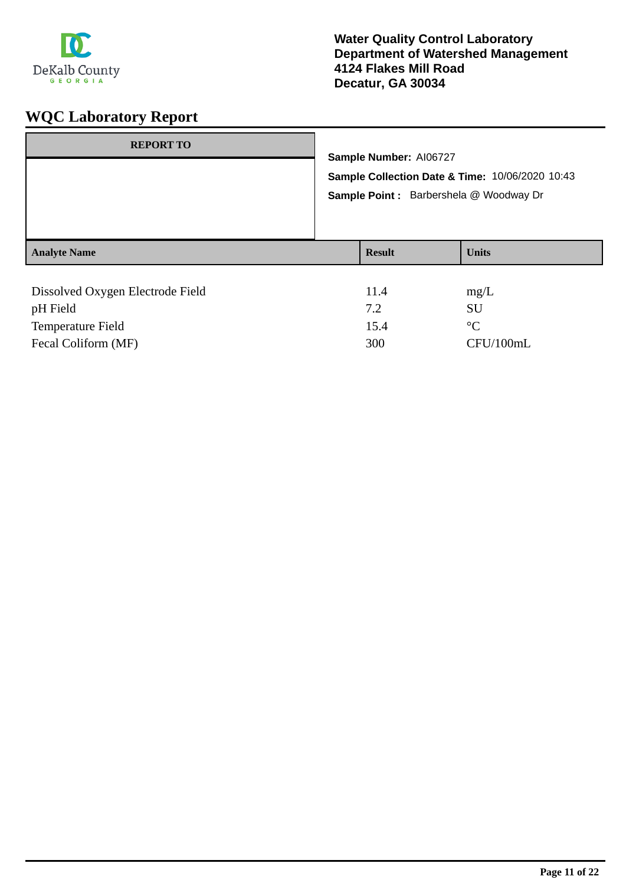

| <b>REPORT TO</b>                             | Sample Number: AI06727<br>Sample Collection Date & Time: 10/06/2020 10:43<br>Sample Point : Barbershela @ Woodway Dr |               |                   |
|----------------------------------------------|----------------------------------------------------------------------------------------------------------------------|---------------|-------------------|
| <b>Analyte Name</b>                          |                                                                                                                      | <b>Result</b> | <b>Units</b>      |
| Dissolved Oxygen Electrode Field<br>pH Field |                                                                                                                      | 11.4<br>7.2   | mg/L<br><b>SU</b> |

Temperature Field <sup>o</sup>C

Fecal Coliform (MF) 300 CFU/100mL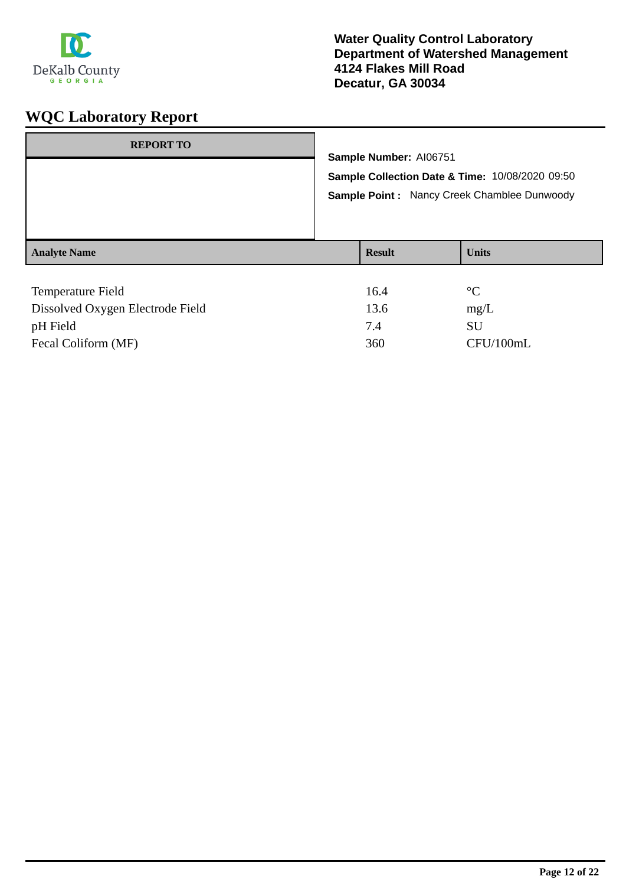

| <b>REPORT TO</b>    | Sample Number: AI06751 | Sample Collection Date & Time: 10/08/2020 09:50<br>Sample Point: Nancy Creek Chamblee Dunwoody |
|---------------------|------------------------|------------------------------------------------------------------------------------------------|
| <b>Analyte Name</b> | <b>Result</b>          | <b>Units</b>                                                                                   |
| Temperature Field   | 16.4                   | $\rm ^{\circ}C$                                                                                |

| Dissolved Oxygen Electrode Field | 13.6 | mg/L      |
|----------------------------------|------|-----------|
| pH Field                         | 7.4  | SU        |
| Fecal Coliform (MF)              | 360  | CFU/100mL |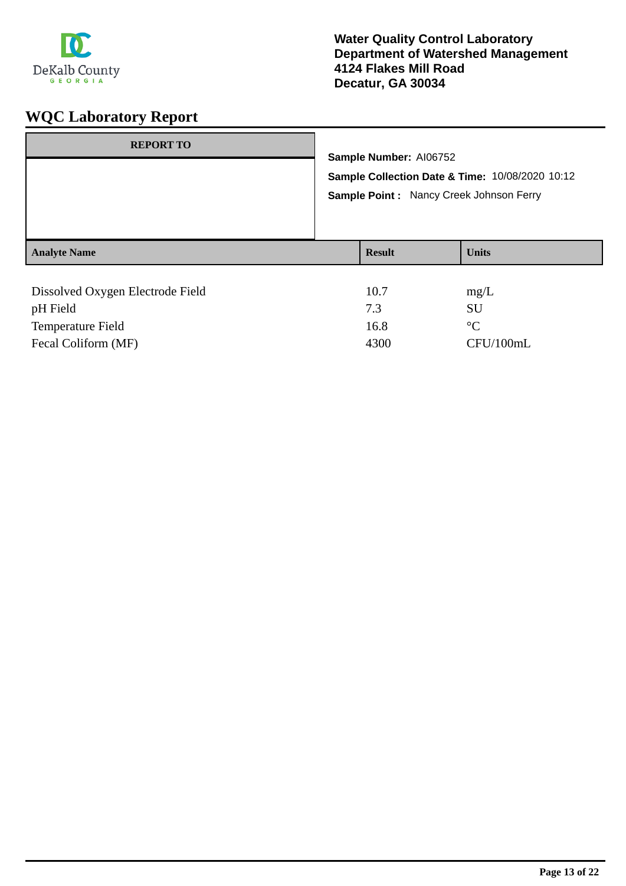

| <b>REPORT TO</b>                 | Sample Number: AI06752<br>Sample Collection Date & Time: 10/08/2020 10:12<br>Sample Point: Nancy Creek Johnson Ferry |               |                 |
|----------------------------------|----------------------------------------------------------------------------------------------------------------------|---------------|-----------------|
| <b>Analyte Name</b>              |                                                                                                                      | <b>Result</b> | <b>Units</b>    |
|                                  |                                                                                                                      |               |                 |
| Dissolved Oxygen Electrode Field |                                                                                                                      | 10.7          | mg/L            |
| pH Field                         |                                                                                                                      | 7.3           | <b>SU</b>       |
| <b>Temperature Field</b>         |                                                                                                                      | 16.8          | $\rm ^{\circ}C$ |

Fecal Coliform (MF) 4300 CFU/100mL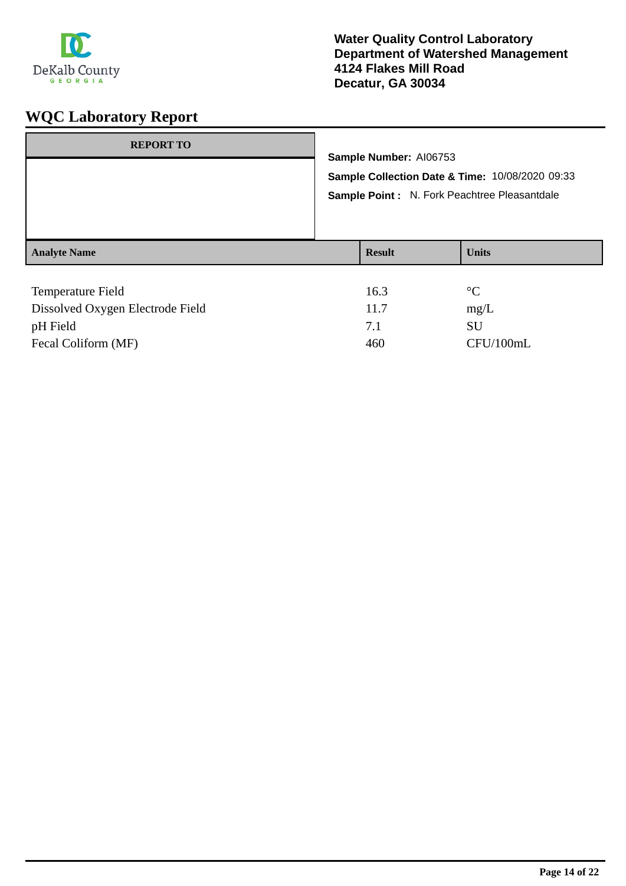

| <b>Result</b> | <b>Units</b>    |                                                                                                                                                 |
|---------------|-----------------|-------------------------------------------------------------------------------------------------------------------------------------------------|
| 16.3          | $\rm ^{\circ}C$ |                                                                                                                                                 |
|               | 11 $7$          | Sample Number: AI06753<br>Sample Collection Date & Time: 10/08/2020 09:33<br>Sample Point : N. Fork Peachtree Pleasantdale<br>$m \sim \sqrt{I}$ |

| Dissolved Oxygen Electrode Field | 11.7 | mg/L      |
|----------------------------------|------|-----------|
| pH Field                         |      | SU        |
| Fecal Coliform (MF)              | 460  | CFU/100mL |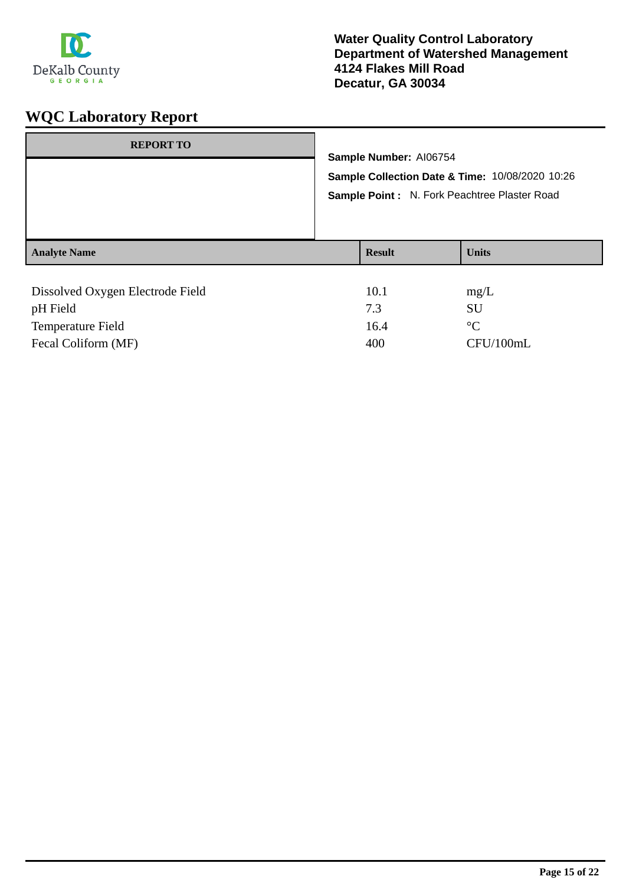

| <b>REPORT TO</b>                             | Sample Number: AI06754<br>Sample Collection Date & Time: 10/08/2020 10:26<br>Sample Point: N. Fork Peachtree Plaster Road |               |                   |
|----------------------------------------------|---------------------------------------------------------------------------------------------------------------------------|---------------|-------------------|
| <b>Analyte Name</b>                          |                                                                                                                           | <b>Result</b> | <b>Units</b>      |
| Dissolved Oxygen Electrode Field<br>pH Field |                                                                                                                           | 10.1<br>7.3   | mg/L<br><b>SU</b> |
| <b>Temperature Field</b>                     |                                                                                                                           | 16.4          | $\rm ^{\circ}C$   |

Fecal Coliform (MF) 400 CFU/100mL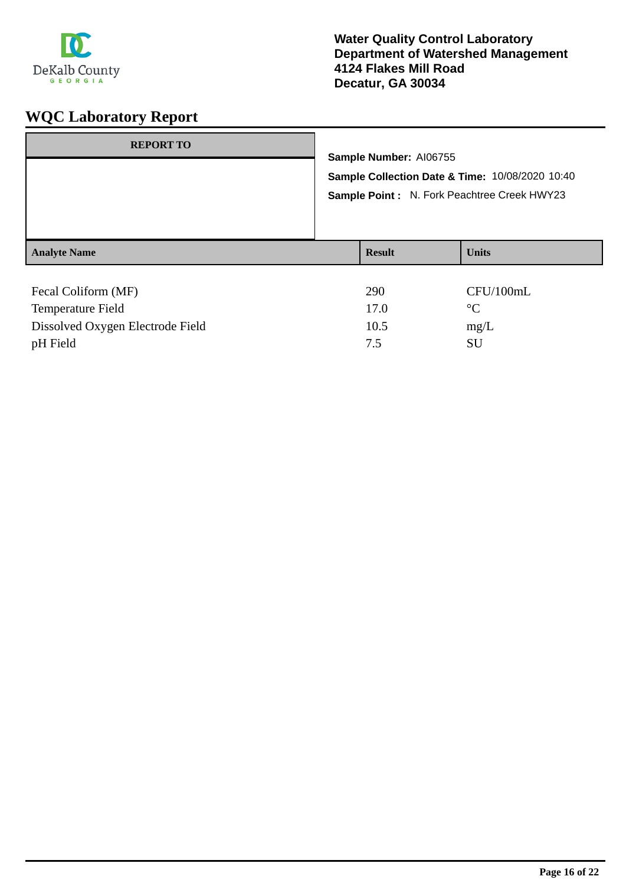

| <b>REPORT TO</b>                                | Sample Number: AI06755<br>Sample Collection Date & Time: 10/08/2020 10:40<br>Sample Point: N. Fork Peachtree Creek HWY23 |                              |  |
|-------------------------------------------------|--------------------------------------------------------------------------------------------------------------------------|------------------------------|--|
| <b>Analyte Name</b>                             | <b>Result</b>                                                                                                            | <b>Units</b>                 |  |
| Fecal Coliform (MF)<br><b>Temperature Field</b> | 290<br>17.0                                                                                                              | CFU/100mL<br>$\rm ^{\circ}C$ |  |

Dissolved Oxygen Electrode Field 10.5 mg/L pH Field 3U SU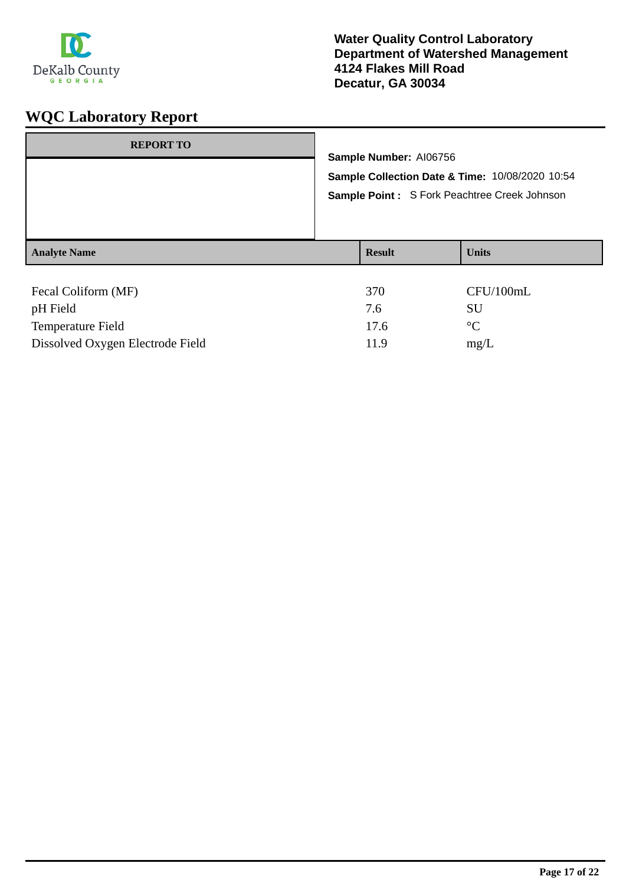

| <b>REPORT TO</b>                 | Sample Number: AI06756 | Sample Collection Date & Time: 10/08/2020 10:54<br>Sample Point: S Fork Peachtree Creek Johnson |
|----------------------------------|------------------------|-------------------------------------------------------------------------------------------------|
| <b>Analyte Name</b>              | <b>Result</b>          | <b>Units</b>                                                                                    |
|                                  |                        |                                                                                                 |
| Fecal Coliform (MF)              | 370                    | CFU/100mL                                                                                       |
| pH Field                         | 7.6                    | SU                                                                                              |
| Temperature Field                | 17.6                   | $\rm ^{\circ}C$                                                                                 |
| Dissolved Oxygen Electrode Field | 11.9                   | mg/L                                                                                            |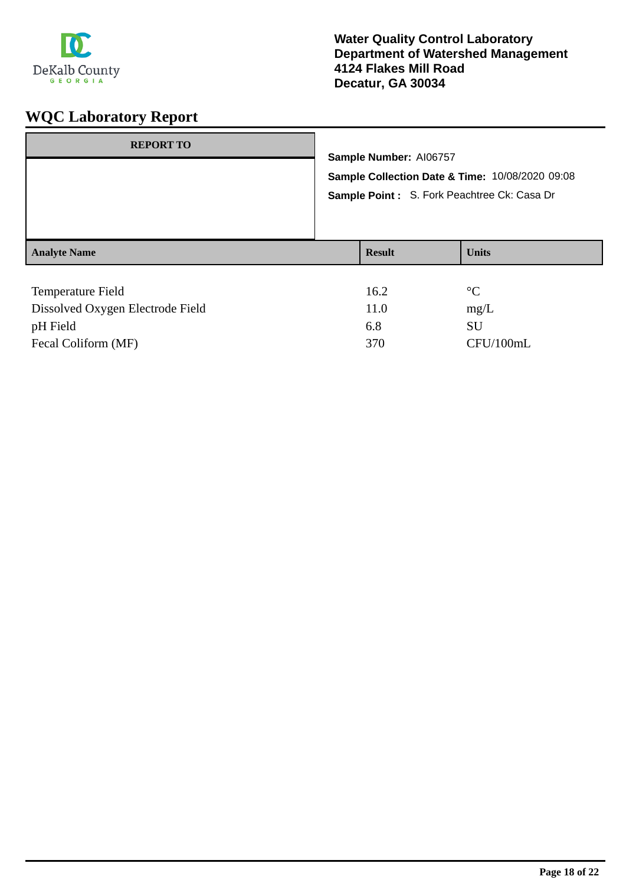

| <b>REPORT TO</b>                                        | Sample Number: AI06757<br>Sample Collection Date & Time: 10/08/2020 09:08<br>Sample Point: S. Fork Peachtree Ck: Casa Dr |                     |                                              |
|---------------------------------------------------------|--------------------------------------------------------------------------------------------------------------------------|---------------------|----------------------------------------------|
| <b>Analyte Name</b>                                     |                                                                                                                          | <b>Result</b>       | <b>Units</b>                                 |
| Temperature Field<br>Dissolved Ourseau Floatus de Field |                                                                                                                          | 16.2<br>11 $\Omega$ | $\rm ^{\circ}C$<br>$\mathbf{r} = \mathbf{r}$ |

| Dissolved Oxygen Electrode Field | 11.0 | mg/L      |
|----------------------------------|------|-----------|
| pH Field                         | 6.8  | SU        |
| Fecal Coliform (MF)              | 370  | CFU/100mL |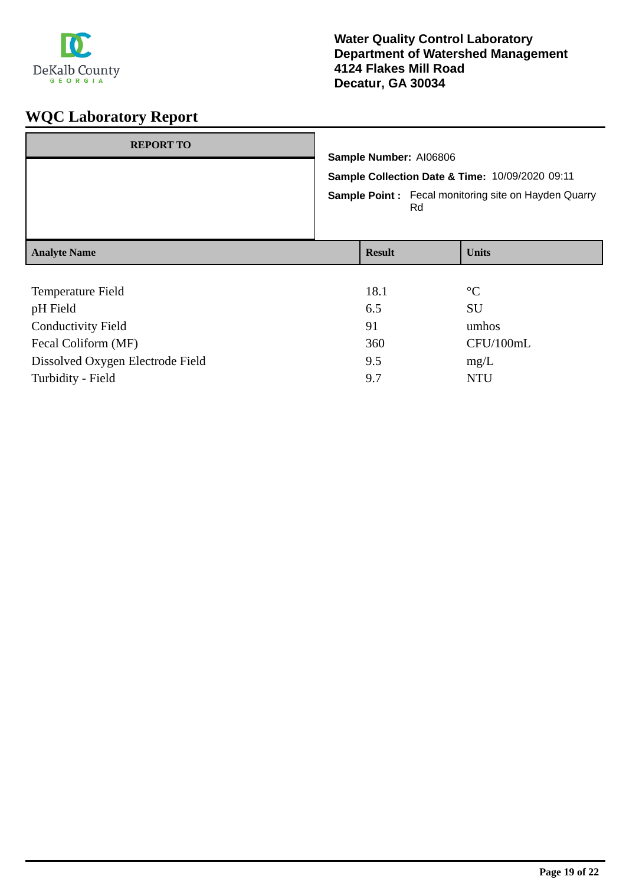

| <b>REPORT TO</b>          | Sample Number: AI06806<br>Sample Collection Date & Time: 10/09/2020 09:11<br><b>Sample Point:</b> Fecal monitoring site on Hayden Quarry<br>Rd |               |                 |
|---------------------------|------------------------------------------------------------------------------------------------------------------------------------------------|---------------|-----------------|
| <b>Analyte Name</b>       |                                                                                                                                                | <b>Result</b> | <b>Units</b>    |
|                           |                                                                                                                                                |               |                 |
| Temperature Field         |                                                                                                                                                | 18.1          | $\rm ^{\circ}C$ |
| pH Field                  | 6.5                                                                                                                                            |               | <b>SU</b>       |
| <b>Conductivity Field</b> | 91                                                                                                                                             |               | umhos           |
| Fecal Coliform (MF)       |                                                                                                                                                | 360           | CFU/100mL       |

Dissolved Oxygen Electrode Field 9.5 mg/L Turbidity - Field 9.7 NTU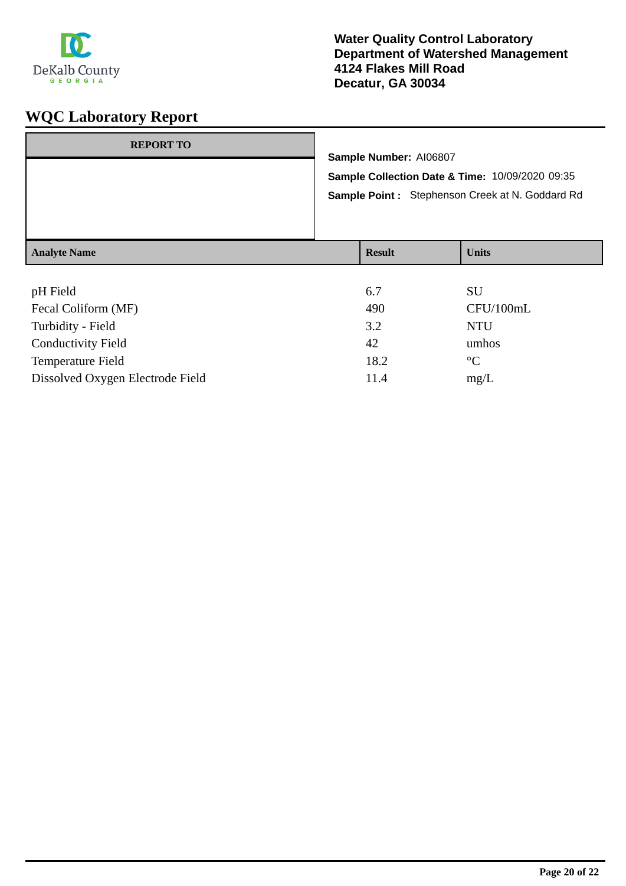

| <b>REPORT TO</b>    | Sample Number: AI06807 | Sample Collection Date & Time: 10/09/2020 09:35<br>Sample Point: Stephenson Creek at N. Goddard Rd |
|---------------------|------------------------|----------------------------------------------------------------------------------------------------|
| <b>Analyte Name</b> | <b>Result</b>          | <b>Units</b>                                                                                       |

| pH Field                         | 6.7  | SU              |
|----------------------------------|------|-----------------|
| Fecal Coliform (MF)              | 490  | CFU/100mL       |
| Turbidity - Field                | 3.2  | <b>NTU</b>      |
| <b>Conductivity Field</b>        | 42   | umhos           |
| <b>Temperature Field</b>         | 18.2 | $\rm ^{\circ}C$ |
| Dissolved Oxygen Electrode Field | 11.4 | mg/L            |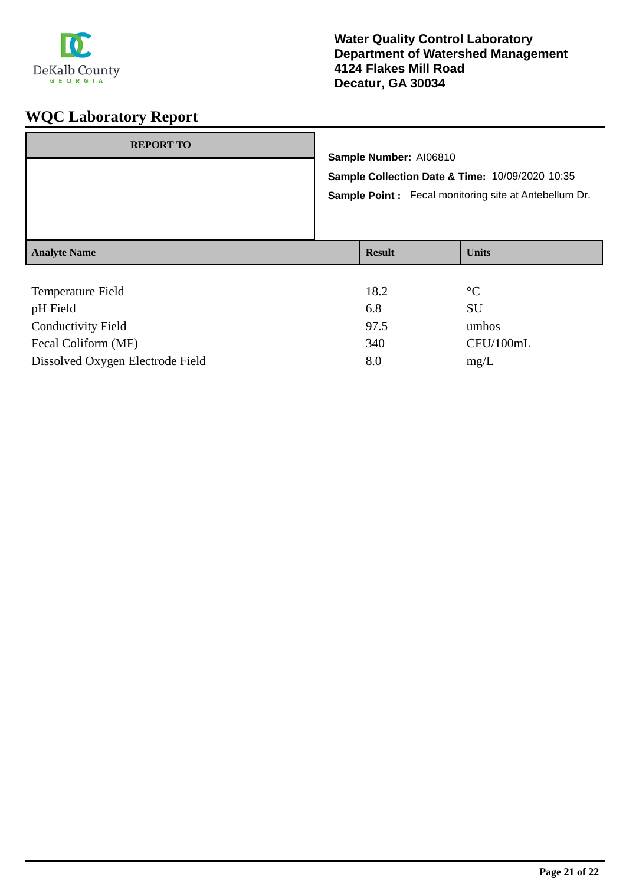

| <b>REPORT TO</b>    |                        |                                                                                                           |                 |  |
|---------------------|------------------------|-----------------------------------------------------------------------------------------------------------|-----------------|--|
|                     | Sample Number: AI06810 |                                                                                                           |                 |  |
|                     |                        | Sample Collection Date & Time: 10/09/2020 10:35<br>Sample Point : Fecal monitoring site at Antebellum Dr. |                 |  |
|                     |                        |                                                                                                           |                 |  |
| <b>Analyte Name</b> |                        | <b>Result</b>                                                                                             | <b>Units</b>    |  |
|                     |                        |                                                                                                           |                 |  |
| Temperature Field   |                        | 18.2                                                                                                      | $\rm ^{\circ}C$ |  |
| pH Field            |                        | 6.8                                                                                                       | SU              |  |

| pH Field                         | 6.8  |           |
|----------------------------------|------|-----------|
| <b>Conductivity Field</b>        | 97.5 | umhos     |
| Fecal Coliform (MF)              | 340  | CFU/100mL |
| Dissolved Oxygen Electrode Field | 8.0  | mg/L      |